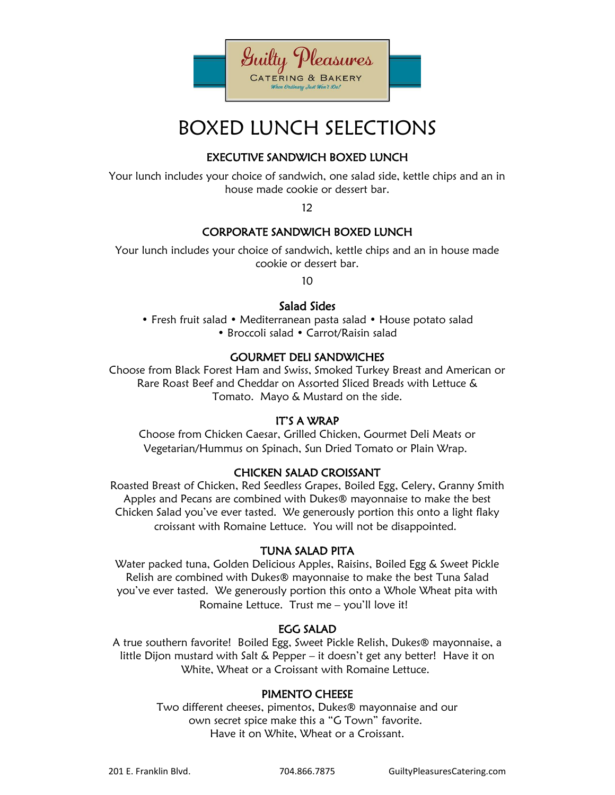

# BOXED LUNCH SELECTIONS

# EXECUTIVE SANDWICH BOXED LUNCH

Your lunch includes your choice of sandwich, one salad side, kettle chips and an in house made cookie or dessert bar.

12

# CORPORATE SANDWICH BOXED LUNCH

Your lunch includes your choice of sandwich, kettle chips and an in house made cookie or dessert bar.

10

# Salad Sides

• Fresh fruit salad • Mediterranean pasta salad • House potato salad • Broccoli salad • Carrot/Raisin salad

# GOURMET DELI SANDWICHES

Choose from Black Forest Ham and Swiss, Smoked Turkey Breast and American or Rare Roast Beef and Cheddar on Assorted Sliced Breads with Lettuce & Tomato. Mayo & Mustard on the side.

#### IT'S A WRAP

Choose from Chicken Caesar, Grilled Chicken, Gourmet Deli Meats or Vegetarian/Hummus on Spinach, Sun Dried Tomato or Plain Wrap.

#### CHICKEN SALAD CROISSANT

Roasted Breast of Chicken, Red Seedless Grapes, Boiled Egg, Celery, Granny Smith Apples and Pecans are combined with Dukes® mayonnaise to make the best Chicken Salad you've ever tasted. We generously portion this onto a light flaky croissant with Romaine Lettuce. You will not be disappointed.

#### TUNA SALAD PITA

Water packed tuna, Golden Delicious Apples, Raisins, Boiled Egg & Sweet Pickle Relish are combined with Dukes® mayonnaise to make the best Tuna Salad you've ever tasted. We generously portion this onto a Whole Wheat pita with Romaine Lettuce. Trust me – you'll love it!

#### EGG SALAD

A true southern favorite! Boiled Egg, Sweet Pickle Relish, Dukes® mayonnaise, a little Dijon mustard with Salt & Pepper – it doesn't get any better! Have it on White, Wheat or a Croissant with Romaine Lettuce.

# PIMENTO CHEESE

Two different cheeses, pimentos, Dukes® mayonnaise and our own secret spice make this a "G Town" favorite. Have it on White, Wheat or a Croissant.